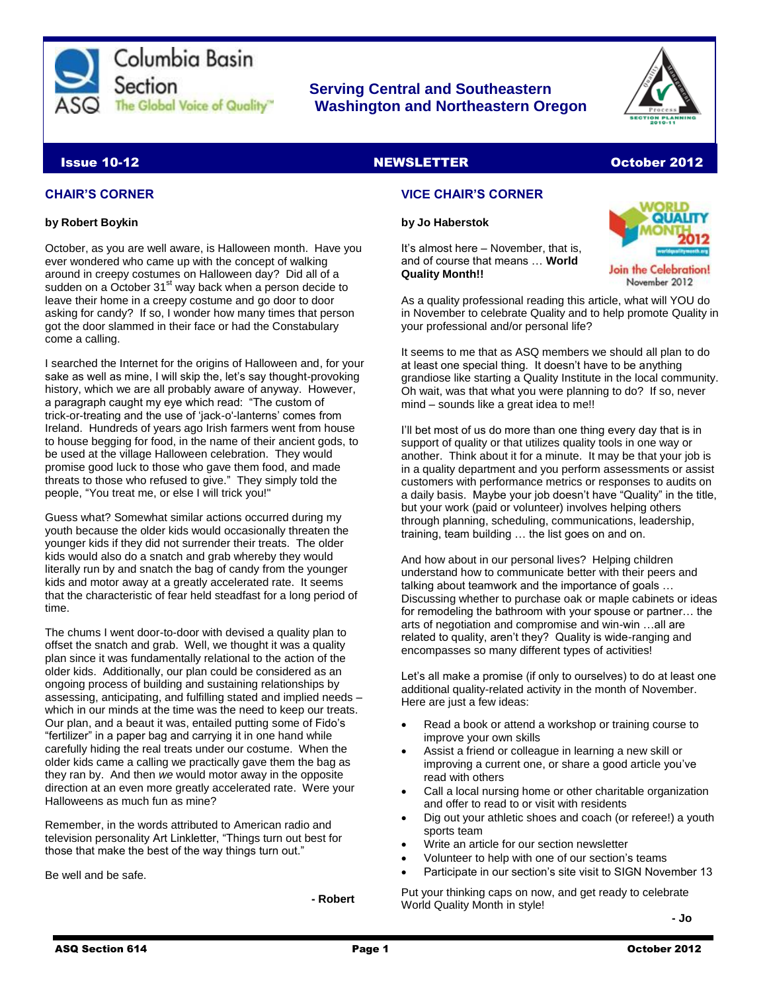

# **Serving Central and Southeastern The Global Voice of Quality Washington and Northeastern Oregon**



# Issue 10-12 NEWSLETTER October 2012

#### **CHAIR'S CORNER**

#### **by Robert Boykin**

October, as you are well aware, is Halloween month. Have you ever wondered who came up with the concept of walking around in creepy costumes on Halloween day? Did all of a sudden on a October  $31<sup>st</sup>$  way back when a person decide to leave their home in a creepy costume and go door to door asking for candy? If so, I wonder how many times that person got the door slammed in their face or had the Constabulary come a calling.

I searched the Internet for the origins of Halloween and, for your sake as well as mine, I will skip the, let's say thought-provoking history, which we are all probably aware of anyway. However, a paragraph caught my eye which read: "The custom of trick-or-treating and the use of 'jack-o'-lanterns' comes from Ireland. Hundreds of years ago Irish farmers went from house to house begging for food, in the name of their ancient gods, to be used at the village Halloween celebration. They would promise good luck to those who gave them food, and made threats to those who refused to give." They simply told the people, "You treat me, or else I will trick you!"

Guess what? Somewhat similar actions occurred during my youth because the older kids would occasionally threaten the younger kids if they did not surrender their treats. The older kids would also do a snatch and grab whereby they would literally run by and snatch the bag of candy from the younger kids and motor away at a greatly accelerated rate. It seems that the characteristic of fear held steadfast for a long period of time.

The chums I went door-to-door with devised a quality plan to offset the snatch and grab. Well, we thought it was a quality plan since it was fundamentally relational to the action of the older kids. Additionally, our plan could be considered as an ongoing process of building and sustaining relationships by assessing, anticipating, and fulfilling stated and implied needs – which in our minds at the time was the need to keep our treats. Our plan, and a beaut it was, entailed putting some of Fido's "fertilizer" in a paper bag and carrying it in one hand while carefully hiding the real treats under our costume. When the older kids came a calling we practically gave them the bag as they ran by. And then *we* would motor away in the opposite direction at an even more greatly accelerated rate. Were your Halloweens as much fun as mine?

Remember, in the words attributed to American radio and television personality Art Linkletter, "Things turn out best for those that make the best of the way things turn out."

Be well and be safe.

 **- Robert**

## **VICE CHAIR'S CORNER**

#### **by Jo Haberstok**

It's almost here – November, that is, and of course that means … **World Quality Month!!**



Join the Celebration! November 2012

As a quality professional reading this article, what will YOU do in November to celebrate Quality and to help promote Quality in your professional and/or personal life?

It seems to me that as ASQ members we should all plan to do at least one special thing. It doesn't have to be anything grandiose like starting a Quality Institute in the local community. Oh wait, was that what you were planning to do? If so, never mind – sounds like a great idea to me!!

I'll bet most of us do more than one thing every day that is in support of quality or that utilizes quality tools in one way or another. Think about it for a minute. It may be that your job is in a quality department and you perform assessments or assist customers with performance metrics or responses to audits on a daily basis. Maybe your job doesn't have "Quality" in the title, but your work (paid or volunteer) involves helping others through planning, scheduling, communications, leadership, training, team building … the list goes on and on.

And how about in our personal lives? Helping children understand how to communicate better with their peers and talking about teamwork and the importance of goals … Discussing whether to purchase oak or maple cabinets or ideas for remodeling the bathroom with your spouse or partner… the arts of negotiation and compromise and win-win …all are related to quality, aren't they? Quality is wide-ranging and encompasses so many different types of activities!

Let's all make a promise (if only to ourselves) to do at least one additional quality-related activity in the month of November. Here are just a few ideas:

- Read a book or attend a workshop or training course to improve your own skills
- Assist a friend or colleague in learning a new skill or improving a current one, or share a good article you've read with others
- Call a local nursing home or other charitable organization and offer to read to or visit with residents
- Dig out your athletic shoes and coach (or referee!) a youth sports team
- Write an article for our section newsletter
- Volunteer to help with one of our section's teams
- Participate in our section's site visit to SIGN November 13

Put your thinking caps on now, and get ready to celebrate World Quality Month in style!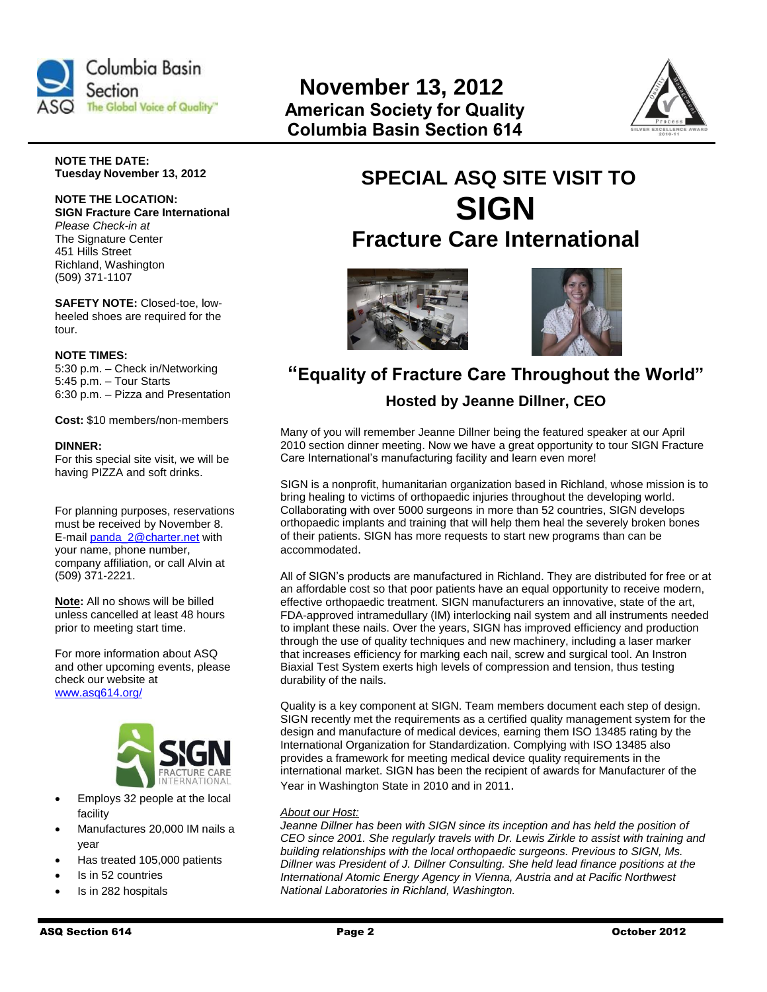

# **November 13, 2012 The Global Voice of Quality" American Society for Quality Columbia Basin Section 614**



**NOTE THE DATE: Tuesday November 13, 2012**

#### **NOTE THE LOCATION: SIGN Fracture Care International** *Please Check-in at* The Signature Center 451 Hills Street Richland, Washington (509) 371-1107

**SAFETY NOTE:** Closed-toe, lowheeled shoes are required for the tour.

#### **NOTE TIMES:**

5:30 p.m. – Check in/Networking 5:45 p.m. – Tour Starts 6:30 p.m. – Pizza and Presentation

**Cost:** \$10 members/non-members

#### **DINNER:**

For this special site visit, we will be having PIZZA and soft drinks.

For planning purposes, reservations must be received by November 8. E-mail [panda\\_2@charter.net](mailto:panda_2@charter.net) with your name, phone number, company affiliation, or call Alvin at (509) 371-2221.

**Note:** All no shows will be billed unless cancelled at least 48 hours prior to meeting start time.

For more information about ASQ and other upcoming events, please check our website at [www.asq614.org/](http://www.asq614.org/)



- Employs 32 people at the local facility
- Manufactures 20,000 IM nails a year
- Has treated 105,000 patients
- Is in 52 countries
- Is in 282 hospitals

# **SPECIAL ASQ SITE VISIT TO SIGN Fracture Care International**





# **"Equality of Fracture Care Throughout the World"**

# **Hosted by Jeanne Dillner, CEO**

Many of you will remember Jeanne Dillner being the featured speaker at our April 2010 section dinner meeting. Now we have a great opportunity to tour SIGN Fracture Care International's manufacturing facility and learn even more!

SIGN is a nonprofit, humanitarian organization based in Richland, whose mission is to bring healing to victims of orthopaedic injuries throughout the developing world. Collaborating with over 5000 surgeons in more than 52 countries, SIGN develops orthopaedic implants and training that will help them heal the severely broken bones of their patients. SIGN has more requests to start new programs than can be accommodated.

All of SIGN's products are manufactured in Richland. They are distributed for free or at an affordable cost so that poor patients have an equal opportunity to receive modern, effective orthopaedic treatment. SIGN manufacturers an innovative, state of the art, FDA-approved intramedullary (IM) interlocking nail system and all instruments needed to implant these nails. Over the years, SIGN has improved efficiency and production through the use of quality techniques and new machinery, including a laser marker that increases efficiency for marking each nail, screw and surgical tool. An Instron Biaxial Test System exerts high levels of compression and tension, thus testing durability of the nails.

Quality is a key component at SIGN. Team members document each step of design. SIGN recently met the requirements as a certified quality management system for the design and manufacture of medical devices, earning them ISO 13485 rating by the International Organization for Standardization. Complying with ISO 13485 also provides a framework for meeting medical device quality requirements in the international market. SIGN has been the recipient of awards for Manufacturer of the Year in Washington State in 2010 and in 2011.

#### *About our Host:*

*Jeanne Dillner has been with SIGN since its inception and has held the position of CEO since 2001. She regularly travels with Dr. Lewis Zirkle to assist with training and building relationships with the local orthopaedic surgeons. Previous to SIGN, Ms. Dillner was President of J. Dillner Consulting. She held lead finance positions at the International Atomic Energy Agency in Vienna, Austria and at Pacific Northwest National Laboratories in Richland, Washington.*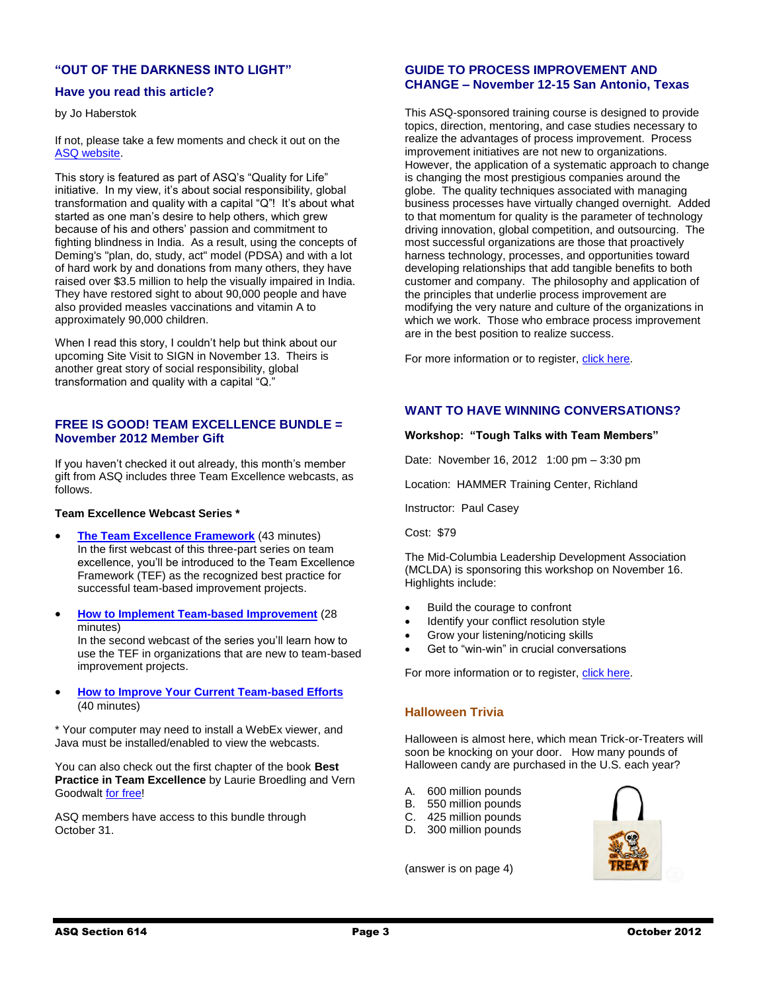## **"OUT OF THE DARKNESS INTO LIGHT"**

#### **Have you read this article?**

by Jo Haberstok

If not, please take a few moments and check it out on the [ASQ website.](http://www4.asq.org/qualityforlife/volunteer-stories/out-of-darkness-into-light-1.html)

This story is featured as part of ASQ's "Quality for Life" initiative. In my view, it's about social responsibility, global transformation and quality with a capital "Q"! It's about what started as one man's desire to help others, which grew because of his and others' passion and commitment to fighting blindness in India. As a result, using the concepts of Deming's "plan, do, study, act" model (PDSA) and with a lot of hard work by and donations from many others, they have raised over \$3.5 million to help the visually impaired in India. They have restored sight to about 90,000 people and have also provided measles vaccinations and vitamin A to approximately 90,000 children.

When I read this story, I couldn't help but think about our upcoming Site Visit to SIGN in November 13. Theirs is another great story of social responsibility, global transformation and quality with a capital "Q."

#### **FREE IS GOOD! TEAM EXCELLENCE BUNDLE = November 2012 Member Gift**

If you haven't checked it out already, this month's member gift from ASQ includes three Team Excellence webcasts, as follows.

#### **Team Excellence Webcast Series \***

- **[The Team Excellence Framework](https://asq.webex.com/asq/lsr.php?AT=pb&SP=EC&rID=5223322&rKey=8f62bd3c62024420)** (43 minutes) In the first webcast of this three-part series on team excellence, you'll be introduced to the Team Excellence Framework (TEF) as the recognized best practice for successful team-based improvement projects.
- **[How to Implement Team-based Improvement](https://asq.webex.com/asq/lsr.php?AT=pb&SP=EC&rID=5223847&rKey=2b78de43390b4552)** (28 minutes) In the second webcast of the series you'll learn how to use the TEF in organizations that are new to team-based improvement projects.
- **[How to Improve Your Current Team-based Efforts](https://asq.webex.com/asq/lsr.php?AT=pb&SP=EC&rID=5224487&rKey=60daf97973d2027b)** (40 minutes)

\* Your computer may need to install a WebEx viewer, and Java must be installed/enabled to view the webcasts.

You can also check out the first chapter of the book **Best Practice in Team Excellence** by Laurie Broedling and Vern Goodwalt [for free!](https://secure.asq.org/perl/msg.pl?prvurl=http://asq.org/chapters/H1421.pdf)

ASQ members have access to this bundle through October 31.

#### **GUIDE TO PROCESS IMPROVEMENT AND CHANGE – November 12-15 San Antonio, Texas**

This ASQ-sponsored training course is designed to provide topics, direction, mentoring, and case studies necessary to realize the advantages of process improvement. Process improvement initiatives are not new to organizations. However, the application of a systematic approach to change is changing the most prestigious companies around the globe. The quality techniques associated with managing business processes have virtually changed overnight. Added to that momentum for quality is the parameter of technology driving innovation, global competition, and outsourcing. The most successful organizations are those that proactively harness technology, processes, and opportunities toward developing relationships that add tangible benefits to both customer and company. The philosophy and application of the principles that underlie process improvement are modifying the very nature and culture of the organizations in which we work. Those who embrace process improvement are in the best position to realize success.

For more information or to register, [click here.](http://asq.org/training/guide-to-process-improvement-and-change_GPIC.html?WT.dcsvid=ODk0Mzk2NjI1NgS2&WT.mc_id=EM119249)

#### **WANT TO HAVE WINNING CONVERSATIONS?**

#### **Workshop: "Tough Talks with Team Members"**

Date: November 16, 2012 1:00 pm – 3:30 pm

Location: HAMMER Training Center, Richland

Instructor: Paul Casey

Cost: \$79

The Mid-Columbia Leadership Development Association (MCLDA) is sponsoring this workshop on November 16. Highlights include:

- Build the courage to confront
- Identify your conflict resolution style
- Grow your listening/noticing skills
- Get to "win-win" in crucial conversations

For more information or to register, [click here.](mailto:pcgrowingforward@gmail.com)

#### **Halloween Trivia**

Halloween is almost here, which mean Trick-or-Treaters will soon be knocking on your door. How many pounds of Halloween candy are purchased in the U.S. each year?

- A. 600 million pounds
- B. 550 million pounds
- C. 425 million pounds
- D. 300 million pounds